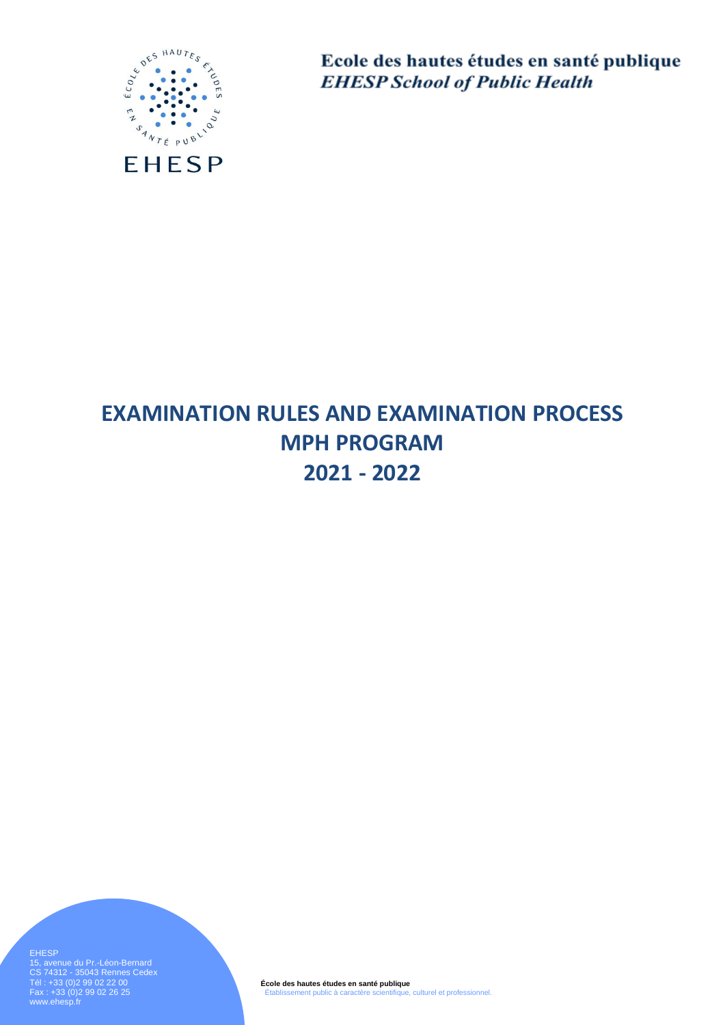

Ecole des hautes études en santé publique **EHESP School of Public Health** 

# **EXAMINATION RULES AND EXAMINATION PROCESS MPH PROGRAM 2021 - 2022**

15, avenue du Pr.-Léon-Bernard CS 74312 - 35043 Rennes Cedex Tél : +33 (0)2 99 02 22 00 Fax : +33 (0)2 99 02 26 25 www.ehesp.fr

**École des hautes études en santé publique** Établissement public à caractère scientifique, culturel et professionnel.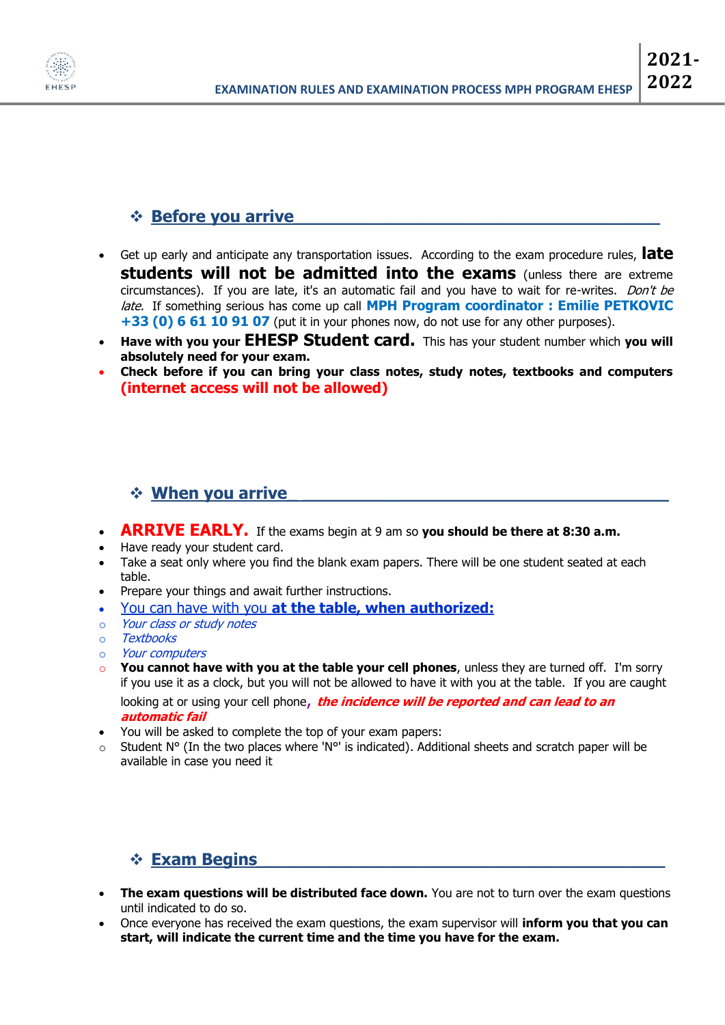

## $\div$  Before you arrive

- Get up early and anticipate any transportation issues. According to the exam procedure rules, **late students will not be admitted into the exams** (unless there are extreme circumstances). If you are late, it's an automatic fail and you have to wait for re-writes. *Don't be* late. If something serious has come up call **MPH Program coordinator : Emilie PETKOVIC +33 (0) 6 61 10 91 07** (put it in your phones now, do not use for any other purposes).
- **Have with you your EHESP Student card.** This has your student number which **you will absolutely need for your exam.**
- **Check before if you can bring your class notes, study notes, textbooks and computers (internet access will not be allowed)**

### $\div$  **When** you arrive

- **ARRIVE EARLY.** If the exams begin at 9 am so **you should be there at 8:30 a.m.**
- Have ready your student card.
- Take a seat only where you find the blank exam papers. There will be one student seated at each table.
- Prepare your things and await further instructions.
- You can have with you **at the table, when authorized:**
- o Your class or study notes
- o Textbooks
- o Your computers
- **You cannot have with you at the table your cell phones**, unless they are turned off. I'm sorry if you use it as a clock, but you will not be allowed to have it with you at the table. If you are caught

looking at or using your cell phone, **the incidence will be reported and can lead to an automatic fail**

- You will be asked to complete the top of your exam papers:
- o Student N° (In the two places where 'N°' is indicated). Additional sheets and scratch paper will be available in case you need it

## $\div$  Exam Begins

- **The exam questions will be distributed face down.** You are not to turn over the exam questions until indicated to do so.
- Once everyone has received the exam questions, the exam supervisor will **inform you that you can start, will indicate the current time and the time you have for the exam.**